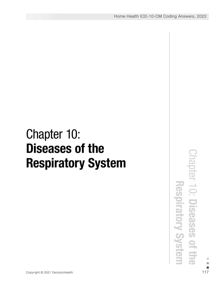## Chapter 10: Diseases of the Respiratory System

Copyright © 2021 DecisionHealth <sup>117</sup> Chapter 10: Diseases of the Respiratory System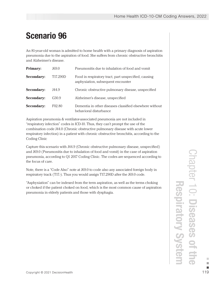## Scenario 96

An 81-year-old woman is admitted to home health with a primary diagnosis of aspiration pneumonia due to the aspiration of food. She suffers from chronic obstructive bronchitis and Alzheimer's disease.

| <b>Primary:</b>   | J69.0              | Pneumonitis due to inhalation of food and vomit                                            |
|-------------------|--------------------|--------------------------------------------------------------------------------------------|
| <b>Secondary:</b> | T17.290D           | Food in respiratory tract, part unspecified, causing<br>asphyxiation, subsequent encounter |
| <b>Secondary:</b> | J44.9              | Chronic obstructive pulmonary disease, unspecified                                         |
| <b>Secondary:</b> | G30.9              | Alzheimer's disease, unspecified                                                           |
| <b>Secondary:</b> | F <sub>02.80</sub> | Dementia in other diseases classified elsewhere without<br>behavioral disturbance          |

Aspiration pneumonia & ventilator-associated pneumonia are not included in "respiratory infection" codes in ICD-10. Thus, they can't prompt the use of the combination code J44.0 (Chronic obstructive pulmonary disease with acute lower respiratory infection) in a patient with chronic obstructive bronchitis, according to the Coding Clinic

Capture this scenario with J44.9 (Chronic obstructive pulmonary disease, unspecified) and J69.0 (Pneumonitis due to inhalation of food and vomit) in the case of aspiration pneumonia, according to Q1 2017 Coding Clinic. The codes are sequenced according to the focus of care.

Note, there is a "Code Also" note at J69.0 to code also any associated foreign body in respiratory track (T17.-). Thus you would assign T17.290D after the J69.0 code.

"Asphyxiation" can be indexed from the term aspiration, as well as the terms choking or choked if the patient choked on food, which is the most common cause of aspiration pneumonia in elderly patients and those with dysphagia.

and J69.0 (Pheumontils due to inhalation of food and vomit) in the case of aspiration<br>pneumonia, according to Q1 2017 Coding Clinic. The codes are sequenced according to<br>the focus of care.<br>
Note, there is a "Code Also" not